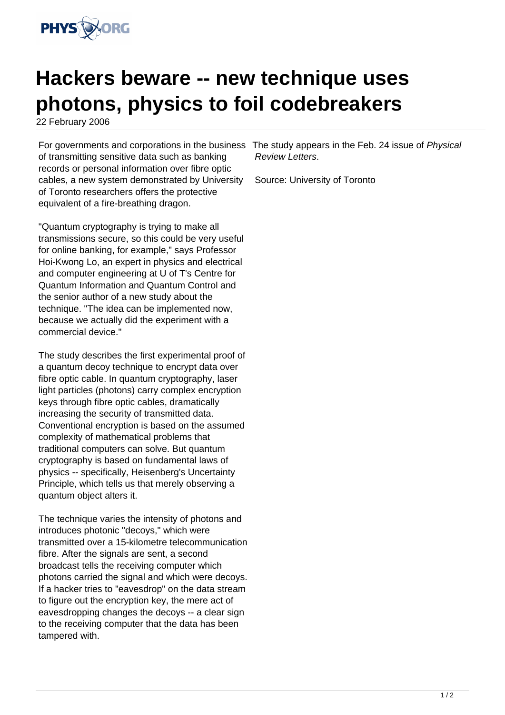

## **Hackers beware -- new technique uses photons, physics to foil codebreakers**

22 February 2006

For governments and corporations in the business The study appears in the Feb. 24 issue of Physical of transmitting sensitive data such as banking records or personal information over fibre optic cables, a new system demonstrated by University of Toronto researchers offers the protective equivalent of a fire-breathing dragon.

"Quantum cryptography is trying to make all transmissions secure, so this could be very useful for online banking, for example," says Professor Hoi-Kwong Lo, an expert in physics and electrical and computer engineering at U of T's Centre for Quantum Information and Quantum Control and the senior author of a new study about the technique. "The idea can be implemented now, because we actually did the experiment with a commercial device."

The study describes the first experimental proof of a quantum decoy technique to encrypt data over fibre optic cable. In quantum cryptography, laser light particles (photons) carry complex encryption keys through fibre optic cables, dramatically increasing the security of transmitted data. Conventional encryption is based on the assumed complexity of mathematical problems that traditional computers can solve. But quantum cryptography is based on fundamental laws of physics -- specifically, Heisenberg's Uncertainty Principle, which tells us that merely observing a quantum object alters it.

The technique varies the intensity of photons and introduces photonic "decoys," which were transmitted over a 15-kilometre telecommunication fibre. After the signals are sent, a second broadcast tells the receiving computer which photons carried the signal and which were decoys. If a hacker tries to "eavesdrop" on the data stream to figure out the encryption key, the mere act of eavesdropping changes the decoys -- a clear sign to the receiving computer that the data has been tampered with.

Review Letters.

Source: University of Toronto